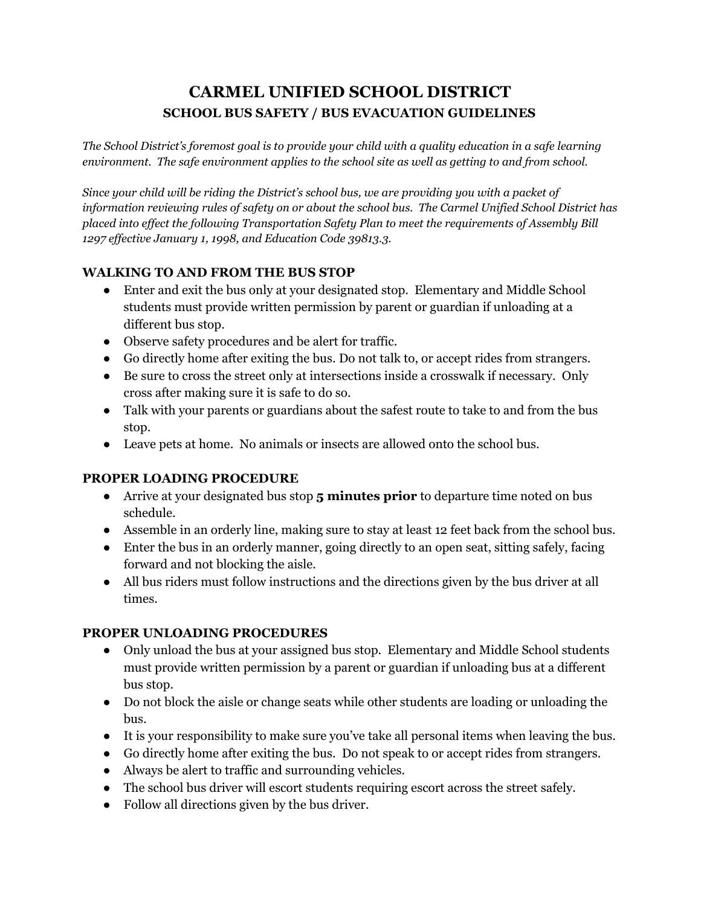# **CARMEL UNIFIED SCHOOL DISTRICT SCHOOL BUS SAFETY / BUS EVACUATION GUIDELINES**

*The School District's foremost goal is to provide your child with a quality education in a safe learning environment. The safe environment applies to the school site as well as getting to and from school.*

*Since your child will be riding the District's school bus, we are providing you with a packet of information reviewing rules of safety on or about the school bus. The Carmel Unified School District has placed into effect the following Transportation Safety Plan to meet the requirements of Assembly Bill 1297 effective January 1, 1998, and Education Code 39813.3.*

## **WALKING TO AND FROM THE BUS STOP**

- Enter and exit the bus only at your designated stop. Elementary and Middle School students must provide written permission by parent or guardian if unloading at a different bus stop.
- Observe safety procedures and be alert for traffic.
- Go directly home after exiting the bus. Do not talk to, or accept rides from strangers.
- Be sure to cross the street only at intersections inside a crosswalk if necessary. Only cross after making sure it is safe to do so.
- Talk with your parents or guardians about the safest route to take to and from the bus stop.
- Leave pets at home. No animals or insects are allowed onto the school bus.

### **PROPER LOADING PROCEDURE**

- Arrive at your designated bus stop **5 minutes prior** to departure time noted on bus schedule.
- Assemble in an orderly line, making sure to stay at least 12 feet back from the school bus.
- Enter the bus in an orderly manner, going directly to an open seat, sitting safely, facing forward and not blocking the aisle.
- All bus riders must follow instructions and the directions given by the bus driver at all times.

### **PROPER UNLOADING PROCEDURES**

- Only unload the bus at your assigned bus stop. Elementary and Middle School students must provide written permission by a parent or guardian if unloading bus at a different bus stop.
- Do not block the aisle or change seats while other students are loading or unloading the bus.
- It is your responsibility to make sure you've take all personal items when leaving the bus.
- Go directly home after exiting the bus. Do not speak to or accept rides from strangers.
- Always be alert to traffic and surrounding vehicles.
- The school bus driver will escort students requiring escort across the street safely.
- Follow all directions given by the bus driver.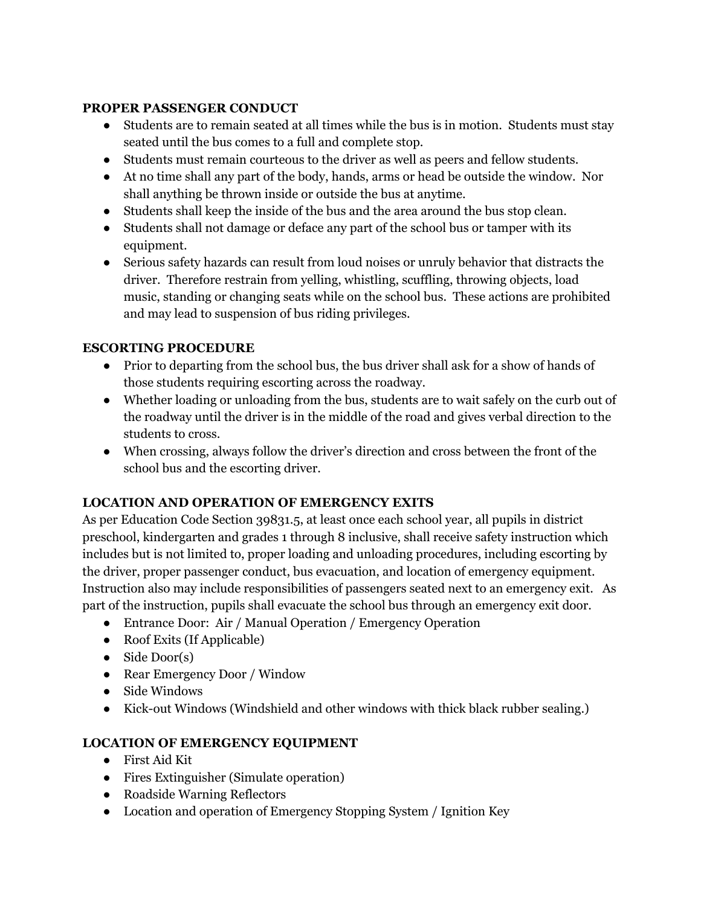#### **PROPER PASSENGER CONDUCT**

- Students are to remain seated at all times while the bus is in motion. Students must stay seated until the bus comes to a full and complete stop.
- Students must remain courteous to the driver as well as peers and fellow students.
- At no time shall any part of the body, hands, arms or head be outside the window. Nor shall anything be thrown inside or outside the bus at anytime.
- Students shall keep the inside of the bus and the area around the bus stop clean.
- Students shall not damage or deface any part of the school bus or tamper with its equipment.
- Serious safety hazards can result from loud noises or unruly behavior that distracts the driver. Therefore restrain from yelling, whistling, scuffling, throwing objects, load music, standing or changing seats while on the school bus. These actions are prohibited and may lead to suspension of bus riding privileges.

## **ESCORTING PROCEDURE**

- Prior to departing from the school bus, the bus driver shall ask for a show of hands of those students requiring escorting across the roadway.
- Whether loading or unloading from the bus, students are to wait safely on the curb out of the roadway until the driver is in the middle of the road and gives verbal direction to the students to cross.
- When crossing, always follow the driver's direction and cross between the front of the school bus and the escorting driver.

# **LOCATION AND OPERATION OF EMERGENCY EXITS**

As per Education Code Section 39831.5, at least once each school year, all pupils in district preschool, kindergarten and grades 1 through 8 inclusive, shall receive safety instruction which includes but is not limited to, proper loading and unloading procedures, including escorting by the driver, proper passenger conduct, bus evacuation, and location of emergency equipment. Instruction also may include responsibilities of passengers seated next to an emergency exit. As part of the instruction, pupils shall evacuate the school bus through an emergency exit door.

- Entrance Door: Air / Manual Operation / Emergency Operation
- Roof Exits (If Applicable)
- $\bullet$  Side Door(s)
- Rear Emergency Door / Window
- Side Windows
- Kick-out Windows (Windshield and other windows with thick black rubber sealing.)

# **LOCATION OF EMERGENCY EQUIPMENT**

- First Aid Kit
- Fires Extinguisher (Simulate operation)
- Roadside Warning Reflectors
- Location and operation of Emergency Stopping System / Ignition Key